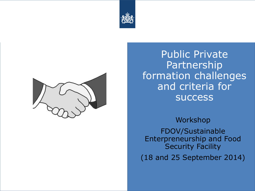



Public Private Partnership formation challenges and criteria for success

Workshop FDOV/Sustainable Enterpreneurship and Food Security Facility (18 and 25 September 2014)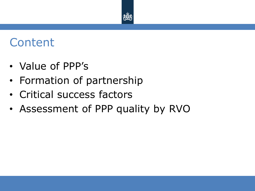

## **Content**

- Value of PPP's
- Formation of partnership
- Critical success factors
- Assessment of PPP quality by RVO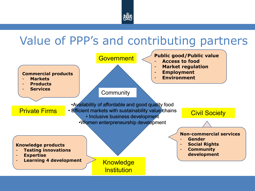

### Value of PPP's and contributing partners

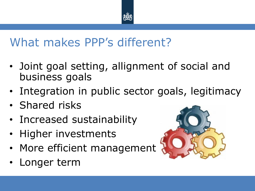

### What makes PPP's different?

- Joint goal setting, allignment of social and business goals
- Integration in public sector goals, legitimacy
- Shared risks
- Increased sustainability
- Higher investments
- More efficient management
- Longer term

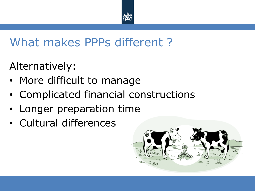

## What makes PPPs different ?

Alternatively:

- More difficult to manage
- Complicated financial constructions
- Longer preparation time
- Cultural differences

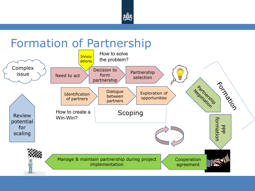

### Formation of Partnership

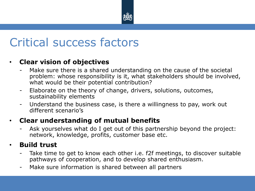

### Critical success factors

#### • **Clear vision of objectives**

- Make sure there is a shared understanding on the cause of the societal problem: whose responsibility is it, what stakeholders should be involved, what would be their potential contribution?
- Elaborate on the theory of change, drivers, solutions, outcomes, sustainability elements
- Understand the business case, is there a willingness to pay, work out different scenario's

#### • **Clear understanding of mutual benefits**

Ask yourselves what do I get out of this partnership beyond the project: network, knowledge, profits, customer base etc.

#### • **Build trust**

- Take time to get to know each other i.e. f2f meetings, to discover suitable pathways of cooperation, and to develop shared enthusiasm.
- Make sure information is shared between all partners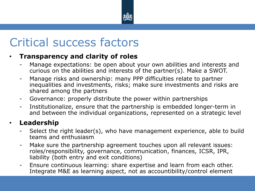

## Critical success factors

#### • **Transparency and clarity of roles**

- Manage expectations: be open about your own abilities and interests and curious on the abilities and interests of the partner(s). Make a SWOT.
- Manage risks and ownership: many PPP difficulties relate to partner inequalities and investments, risks; make sure investments and risks are shared among the partners
- Governance: properly distribute the power within partnerships
- Institutionalize, ensure that the partnership is embedded longer-term in and between the individual organizations, represented on a strategic level

#### • **Leadership**

- Select the right leader(s), who have management experience, able to build teams and enthusiasm
- Make sure the partnership agreement touches upon all relevant issues: roles/responsibility, governance, communication, finances, ICSR, IPR, liability (both entry and exit conditions)
- Ensure continuous learning: share expertise and learn from each other. Integrate M&E as learning aspect, not as accountibility/control element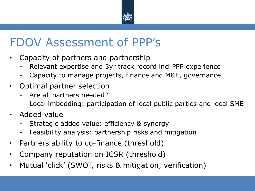

### FDOV Assessment of PPP's

- Capacity of partners and partnership
	- Relevant expertise and 3yr track record incl PPP experience
	- Capacity to manage projects, finance and M&E, governance
- Optimal partner selection
	- Are all partners needed?
	- Local imbedding: participation of local public parties and local SME
- Added value
	- Strategic added value: efficiency & synergy
	- Feasibility analysis: partnership risks and mitigation
- Partners ability to co-finance (threshold)
- Company reputation on ICSR (threshold)
- Mutual 'click' (SWOT, risks & mitigation, verification)